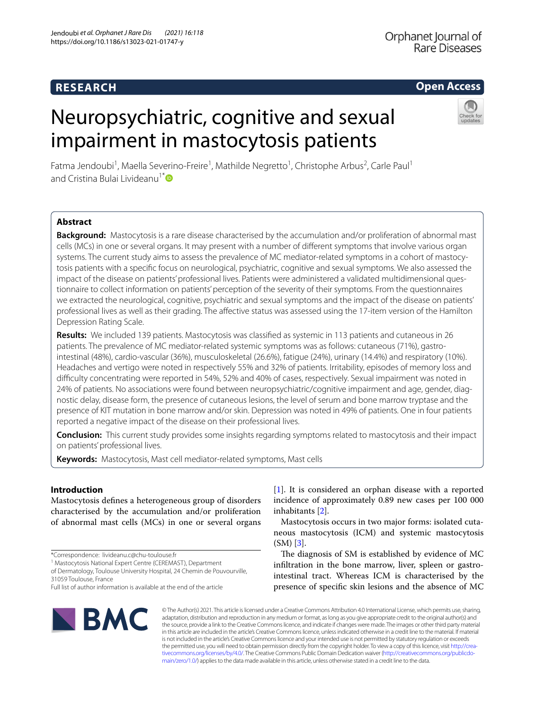# **RESEARCH**

## **Open Access**

# Neuropsychiatric, cognitive and sexual impairment in mastocytosis patients



Fatma Jendoubi<sup>1</sup>, Maella Severino-Freire<sup>1</sup>, Mathilde Negretto<sup>1</sup>, Christophe Arbus<sup>2</sup>, Carle Paul<sup>1</sup> and Cristina Bulai Livideanu<sup>1[\\*](http://orcid.org/0000-0002-5275-6868)</sup>

## **Abstract**

**Background:** Mastocytosis is a rare disease characterised by the accumulation and/or proliferation of abnormal mast cells (MCs) in one or several organs. It may present with a number of diferent symptoms that involve various organ systems. The current study aims to assess the prevalence of MC mediator-related symptoms in a cohort of mastocytosis patients with a specifc focus on neurological, psychiatric, cognitive and sexual symptoms. We also assessed the impact of the disease on patients' professional lives. Patients were administered a validated multidimensional questionnaire to collect information on patients' perception of the severity of their symptoms. From the questionnaires we extracted the neurological, cognitive, psychiatric and sexual symptoms and the impact of the disease on patients' professional lives as well as their grading. The afective status was assessed using the 17-item version of the Hamilton Depression Rating Scale.

**Results:** We included 139 patients. Mastocytosis was classifed as systemic in 113 patients and cutaneous in 26 patients. The prevalence of MC mediator-related systemic symptoms was as follows: cutaneous (71%), gastrointestinal (48%), cardio-vascular (36%), musculoskeletal (26.6%), fatigue (24%), urinary (14.4%) and respiratory (10%). Headaches and vertigo were noted in respectively 55% and 32% of patients. Irritability, episodes of memory loss and difculty concentrating were reported in 54%, 52% and 40% of cases, respectively. Sexual impairment was noted in 24% of patients. No associations were found between neuropsychiatric/cognitive impairment and age, gender, diagnostic delay, disease form, the presence of cutaneous lesions, the level of serum and bone marrow tryptase and the presence of KIT mutation in bone marrow and/or skin. Depression was noted in 49% of patients. One in four patients reported a negative impact of the disease on their professional lives.

**Conclusion:** This current study provides some insights regarding symptoms related to mastocytosis and their impact on patients' professional lives.

**Keywords:** Mastocytosis, Mast cell mediator-related symptoms, Mast cells

## **Introduction**

Mastocytosis defnes a heterogeneous group of disorders characterised by the accumulation and/or proliferation of abnormal mast cells (MCs) in one or several organs

\*Correspondence: livideanu.c@chu‑toulouse.fr

<sup>1</sup> Mastocytosis National Expert Centre (CEREMAST), Department

of Dermatology, Toulouse University Hospital, 24 Chemin de Pouvourville, 31059 Toulouse, France

[[1\]](#page-6-0). It is considered an orphan disease with a reported incidence of approximately 0.89 new cases per 100 000 inhabitants [\[2](#page-6-1)].

Mastocytosis occurs in two major forms: isolated cutaneous mastocytosis (ICM) and systemic mastocytosis (SM) [[3\]](#page-6-2).

The diagnosis of SM is established by evidence of MC infltration in the bone marrow, liver, spleen or gastrointestinal tract. Whereas ICM is characterised by the presence of specifc skin lesions and the absence of MC



© The Author(s) 2021. This article is licensed under a Creative Commons Attribution 4.0 International License, which permits use, sharing, adaptation, distribution and reproduction in any medium or format, as long as you give appropriate credit to the original author(s) and the source, provide a link to the Creative Commons licence, and indicate if changes were made. The images or other third party material in this article are included in the article's Creative Commons licence, unless indicated otherwise in a credit line to the material. If material is not included in the article's Creative Commons licence and your intended use is not permitted by statutory regulation or exceeds the permitted use, you will need to obtain permission directly from the copyright holder. To view a copy of this licence, visit http://crea[tivecommons.org/licenses/by/4.0/.](http://creativecommons.org/licenses/by/4.0/) The Creative Commons Public Domain Dedication waiver (http://creativecommons.org/publicdo[main/zero/1.0/\)](http://creativecommons.org/publicdomain/zero/1.0/) applies to the data made available in this article, unless otherwise stated in a credit line to the data.

Full list of author information is available at the end of the article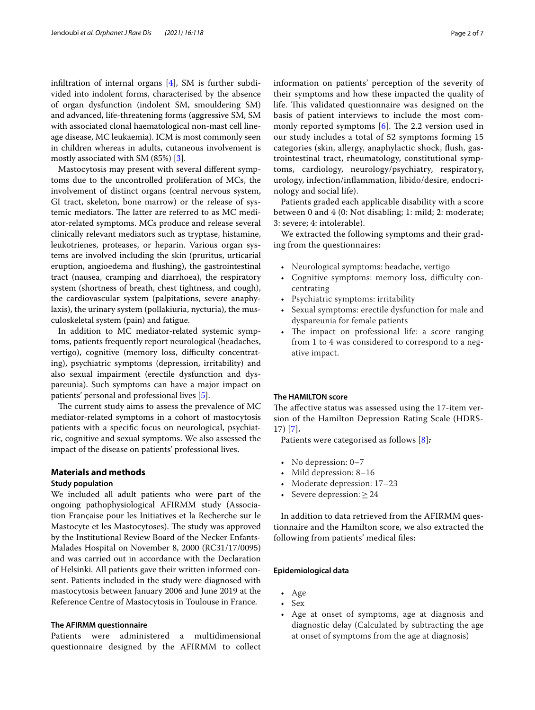infltration of internal organs [[4\]](#page-6-3), SM is further subdivided into indolent forms, characterised by the absence of organ dysfunction (indolent SM, smouldering SM) and advanced, life-threatening forms (aggressive SM, SM with associated clonal haematological non-mast cell lineage disease, MC leukaemia). ICM is most commonly seen in children whereas in adults, cutaneous involvement is mostly associated with SM (85%) [\[3](#page-6-2)].

Mastocytosis may present with several diferent symptoms due to the uncontrolled proliferation of MCs, the involvement of distinct organs (central nervous system, GI tract, skeleton, bone marrow) or the release of systemic mediators. The latter are referred to as MC mediator-related symptoms. MCs produce and release several clinically relevant mediators such as tryptase, histamine, leukotrienes, proteases, or heparin. Various organ systems are involved including the skin (pruritus, urticarial eruption, angioedema and fushing), the gastrointestinal tract (nausea, cramping and diarrhoea), the respiratory system (shortness of breath, chest tightness, and cough), the cardiovascular system (palpitations, severe anaphylaxis), the urinary system (pollakiuria, nycturia), the musculoskeletal system (pain) and fatigue.

In addition to MC mediator-related systemic symptoms, patients frequently report neurological (headaches, vertigo), cognitive (memory loss, difficulty concentrating), psychiatric symptoms (depression, irritability) and also sexual impairment (erectile dysfunction and dyspareunia). Such symptoms can have a major impact on patients' personal and professional lives [[5\]](#page-6-4).

The current study aims to assess the prevalence of MC mediator-related symptoms in a cohort of mastocytosis patients with a specifc focus on neurological, psychiatric, cognitive and sexual symptoms. We also assessed the impact of the disease on patients' professional lives.

## **Materials and methods**

## **Study population**

We included all adult patients who were part of the ongoing pathophysiological AFIRMM study (Association Française pour les Initiatives et la Recherche sur le Mastocyte et les Mastocytoses). The study was approved by the Institutional Review Board of the Necker Enfants-Malades Hospital on November 8, 2000 (RC31/17/0095) and was carried out in accordance with the Declaration of Helsinki. All patients gave their written informed consent. Patients included in the study were diagnosed with mastocytosis between January 2006 and June 2019 at the Reference Centre of Mastocytosis in Toulouse in France.

#### **The AFIRMM questionnaire**

Patients were administered a multidimensional questionnaire designed by the AFIRMM to collect information on patients' perception of the severity of their symptoms and how these impacted the quality of life. This validated questionnaire was designed on the basis of patient interviews to include the most commonly reported symptoms  $[6]$  $[6]$ . The 2.2 version used in our study includes a total of 52 symptoms forming 15 categories (skin, allergy, anaphylactic shock, fush, gastrointestinal tract, rheumatology, constitutional symptoms, cardiology, neurology/psychiatry, respiratory, urology, infection/infammation, libido/desire, endocrinology and social life).

Patients graded each applicable disability with a score between 0 and 4 (0: Not disabling; 1: mild; 2: moderate; 3: severe; 4: intolerable).

We extracted the following symptoms and their grading from the questionnaires:

- Neurological symptoms: headache, vertigo
- Cognitive symptoms: memory loss, difficulty concentrating
- Psychiatric symptoms: irritability
- Sexual symptoms: erectile dysfunction for male and dyspareunia for female patients
- The impact on professional life: a score ranging from 1 to 4 was considered to correspond to a negative impact.

## **The HAMILTON score**

The affective status was assessed using the 17-item version of the Hamilton Depression Rating Scale (HDRS-17) [[7\]](#page-6-6)*.*

Patients were categorised as follows [[8](#page-6-7)]*:*

- No depression: 0–7
- Mild depression: 8–16
- Moderate depression: 17-23
- Severe depression:  $\geq 24$

In addition to data retrieved from the AFIRMM questionnaire and the Hamilton score, we also extracted the following from patients' medical fles:

### **Epidemiological data**

- Age
- Sex
- Age at onset of symptoms, age at diagnosis and diagnostic delay (Calculated by subtracting the age at onset of symptoms from the age at diagnosis)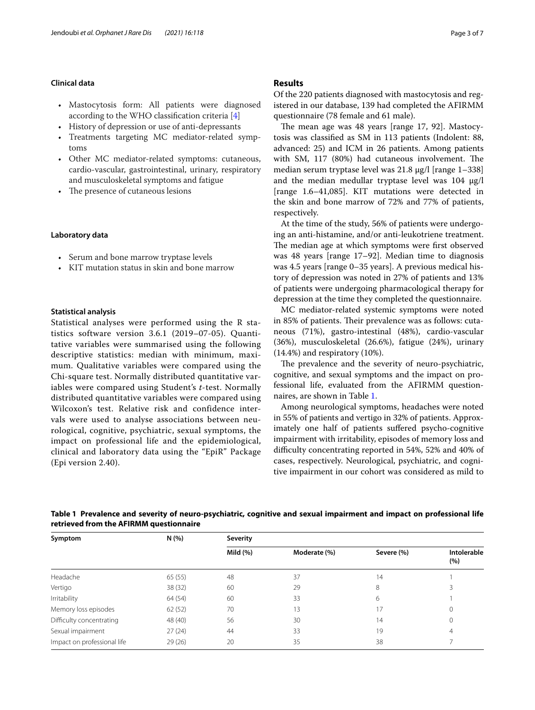## **Clinical data**

- Mastocytosis form: All patients were diagnosed according to the WHO classifcation criteria [[4\]](#page-6-3)
- History of depression or use of anti-depressants
- Treatments targeting MC mediator-related symptoms
- Other MC mediator-related symptoms: cutaneous, cardio-vascular, gastrointestinal, urinary, respiratory and musculoskeletal symptoms and fatigue
- The presence of cutaneous lesions

## **Laboratory data**

- Serum and bone marrow tryptase levels
- KIT mutation status in skin and bone marrow

## **Statistical analysis**

Statistical analyses were performed using the R statistics software version 3.6.1 (2019–07-05). Quantitative variables were summarised using the following descriptive statistics: median with minimum, maximum. Qualitative variables were compared using the Chi-square test. Normally distributed quantitative variables were compared using Student's *t*-test. Normally distributed quantitative variables were compared using Wilcoxon's test. Relative risk and confidence intervals were used to analyse associations between neurological, cognitive, psychiatric, sexual symptoms, the impact on professional life and the epidemiological, clinical and laboratory data using the "EpiR" Package (Epi version 2.40).

## **Results**

Of the 220 patients diagnosed with mastocytosis and registered in our database, 139 had completed the AFIRMM questionnaire (78 female and 61 male).

The mean age was 48 years [range 17, 92]. Mastocytosis was classifed as SM in 113 patients (Indolent: 88, advanced: 25) and ICM in 26 patients. Among patients with SM, 117 (80%) had cutaneous involvement. The median serum tryptase level was 21.8 µg/l [range 1–338] and the median medullar tryptase level was  $104 \text{ µg/l}$ [range 1.6–41,085]. KIT mutations were detected in the skin and bone marrow of 72% and 77% of patients, respectively.

At the time of the study, 56% of patients were undergoing an anti-histamine, and/or anti-leukotriene treatment. The median age at which symptoms were first observed was 48 years [range 17–92]. Median time to diagnosis was 4.5 years [range 0–35 years]. A previous medical history of depression was noted in 27% of patients and 13% of patients were undergoing pharmacological therapy for depression at the time they completed the questionnaire.

MC mediator-related systemic symptoms were noted in 85% of patients. Their prevalence was as follows: cutaneous (71%), gastro-intestinal (48%), cardio-vascular (36%), musculoskeletal (26.6%), fatigue (24%), urinary (14.4%) and respiratory (10%).

The prevalence and the severity of neuro-psychiatric, cognitive, and sexual symptoms and the impact on professional life, evaluated from the AFIRMM questionnaires, are shown in Table [1.](#page-2-0)

Among neurological symptoms, headaches were noted in 55% of patients and vertigo in 32% of patients. Approximately one half of patients sufered psycho-cognitive impairment with irritability, episodes of memory loss and difficulty concentrating reported in 54%, 52% and 40% of cases, respectively. Neurological, psychiatric, and cognitive impairment in our cohort was considered as mild to

<span id="page-2-0"></span>**Table 1 Prevalence and severity of neuro-psychiatric, cognitive and sexual impairment and impact on professional life retrieved from the AFIRMM questionnaire**

| Symptom                     | N(%     | Severity |              |            |                    |  |
|-----------------------------|---------|----------|--------------|------------|--------------------|--|
|                             |         | Mild (%) | Moderate (%) | Severe (%) | Intolerable<br>(%) |  |
| Headache                    | 65(55)  | 48       | 37           | 14         |                    |  |
| Vertigo                     | 38(32)  | 60       | 29           | 8          |                    |  |
| Irritability                | 64(54)  | 60       | 33           | 6          |                    |  |
| Memory loss episodes        | 62(52)  | 70       | 13           | 17         | 0                  |  |
| Difficulty concentrating    | 48 (40) | 56       | 30           | 14         | 0                  |  |
| Sexual impairment           | 27(24)  | 44       | 33           | 19         | 4                  |  |
| Impact on professional life | 29(26)  | 20       | 35           | 38         |                    |  |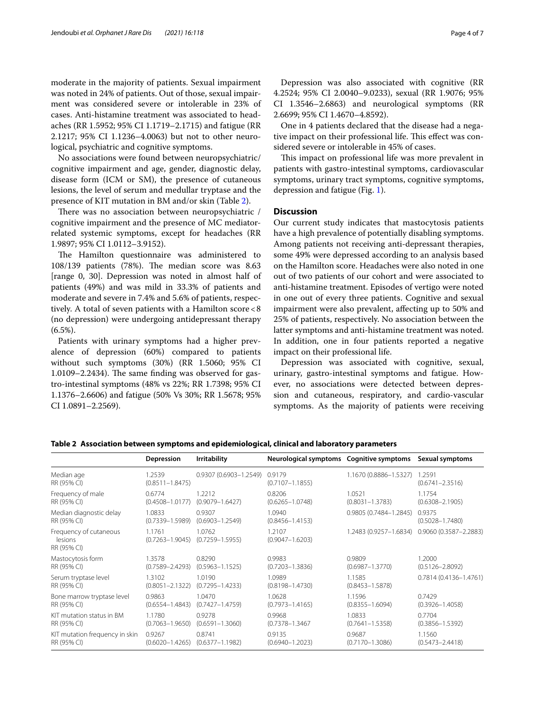moderate in the majority of patients. Sexual impairment was noted in 24% of patients. Out of those, sexual impairment was considered severe or intolerable in 23% of cases. Anti-histamine treatment was associated to headaches (RR 1.5952; 95% CI 1.1719–2.1715) and fatigue (RR 2.1217; 95% CI 1.1236–4.0063) but not to other neurological, psychiatric and cognitive symptoms.

No associations were found between neuropsychiatric/ cognitive impairment and age, gender, diagnostic delay, disease form (ICM or SM), the presence of cutaneous lesions, the level of serum and medullar tryptase and the presence of KIT mutation in BM and/or skin (Table [2\)](#page-3-0).

There was no association between neuropsychiatric / cognitive impairment and the presence of MC mediatorrelated systemic symptoms, except for headaches (RR 1.9897; 95% CI 1.0112–3.9152).

The Hamilton questionnaire was administered to 108/139 patients (78%). The median score was 8.63 [range 0, 30]. Depression was noted in almost half of patients (49%) and was mild in 33.3% of patients and moderate and severe in 7.4% and 5.6% of patients, respectively. A total of seven patients with a Hamilton score<8 (no depression) were undergoing antidepressant therapy  $(6.5\%).$ 

Patients with urinary symptoms had a higher prevalence of depression (60%) compared to patients without such symptoms (30%) (RR 1.5060; 95% CI  $1.0109 - 2.2434$ . The same finding was observed for gastro-intestinal symptoms (48% vs 22%; RR 1.7398; 95% CI 1.1376–2.6606) and fatigue (50% Vs 30%; RR 1.5678; 95% CI 1.0891–2.2569).

Depression was also associated with cognitive (RR 4.2524; 95% CI 2.0040–9.0233), sexual (RR 1.9076; 95% CI 1.3546–2.6863) and neurological symptoms (RR 2.6699; 95% CI 1.4670–4.8592).

One in 4 patients declared that the disease had a negative impact on their professional life. This effect was considered severe or intolerable in 45% of cases.

This impact on professional life was more prevalent in patients with gastro-intestinal symptoms, cardiovascular symptoms, urinary tract symptoms, cognitive symptoms, depression and fatigue (Fig. [1](#page-4-0)).

## **Discussion**

Our current study indicates that mastocytosis patients have a high prevalence of potentially disabling symptoms. Among patients not receiving anti-depressant therapies, some 49% were depressed according to an analysis based on the Hamilton score. Headaches were also noted in one out of two patients of our cohort and were associated to anti-histamine treatment. Episodes of vertigo were noted in one out of every three patients. Cognitive and sexual impairment were also prevalent, afecting up to 50% and 25% of patients, respectively. No association between the latter symptoms and anti-histamine treatment was noted. In addition, one in four patients reported a negative impact on their professional life.

Depression was associated with cognitive, sexual, urinary, gastro-intestinal symptoms and fatigue. However, no associations were detected between depression and cutaneous, respiratory, and cardio-vascular symptoms. As the majority of patients were receiving

|                                                  | Depression                    | <b>Irritability</b>           | Neurological symptoms  Cognitive symptoms |                           | Sexual symptoms               |
|--------------------------------------------------|-------------------------------|-------------------------------|-------------------------------------------|---------------------------|-------------------------------|
| Median age<br>RR (95% CI)                        | 1.2539<br>$(0.8511 - 1.8475)$ | 0.9307 (0.6903-1.2549)        | 0.9179<br>$(0.7107 - 1.1855)$             | 1.1670 (0.8886-1.5327)    | 1.2591<br>$(0.6741 - 2.3516)$ |
| Frequency of male                                | 0.6774                        | 1.2212                        | 0.8206                                    | 1.0521                    | 1.1754                        |
| RR (95% CI)                                      | $(0.4508 - 1.0177)$           | $(0.9079 - 1.6427)$           | $(0.6265 - 1.0748)$                       | $(0.8031 - 1.3783)$       | $(0.6308 - 2.1905)$           |
| Median diagnostic delay                          | 1.0833                        | 0.9307                        | 1.0940                                    | $0.9805(0.7484 - 1.2845)$ | 0.9375                        |
| RR (95% CI)                                      | $(0.7339 - 1.5989)$           | $(0.6903 - 1.2549)$           | $(0.8456 - 1.4153)$                       |                           | $(0.5028 - 1.7480)$           |
| Frequency of cutaneous<br>lesions<br>RR (95% CI) | 1.1761<br>$(0.7263 - 1.9045)$ | 1.0762<br>$(0.7259 - 1.5955)$ | 1.2107<br>$(0.9047 - 1.6203)$             | 1.2483 (0.9257-1.6834)    | 0.9060 (0.3587-2.2883)        |
| Mastocytosis form                                | 1.3578                        | 0.8290                        | 0.9983                                    | 0.9809                    | 1.2000                        |
| RR (95% CI)                                      | $(0.7589 - 2.4293)$           | $(0.5963 - 1.1525)$           | $(0.7203 - 1.3836)$                       | $(0.6987 - 1.3770)$       | $(0.5126 - 2.8092)$           |
| Serum tryptase level                             | 1.3102                        | 1.0190                        | 1.0989                                    | 1.1585                    | $0.7814(0.4136 - 1.4761)$     |
| RR (95% CI)                                      | $(0.8051 - 2.1322)$           | $(0.7295 - 1.4233)$           | $(0.8198 - 1.4730)$                       | $(0.8453 - 1.5878)$       |                               |
| Bone marrow tryptase level                       | 0.9863                        | 1.0470                        | 1.0628                                    | 1.1596                    | 0.7429                        |
| RR (95% CI)                                      | $(0.6554 - 1.4843)$           | $(0.7427 - 1.4759)$           | $(0.7973 - 1.4165)$                       | $(0.8355 - 1.6094)$       | $(0.3926 - 1.4058)$           |
| KIT mutation status in BM                        | 1.1780                        | 0.9278                        | 0.9968                                    | 1.0833                    | 0.7704                        |
| RR (95% CI)                                      | $(0.7063 - 1.9650)$           | $(0.6591 - 1.3060)$           | $(0.7378 - 1.3467$                        | $(0.7641 - 1.5358)$       | $(0.3856 - 1.5392)$           |
| KIT mutation frequency in skin                   | 0.9267                        | 0.8741                        | 0.9135                                    | 0.9687                    | 1.1560                        |
| RR (95% CI)                                      | $(0.6020 - 1.4265)$           | $(0.6377 - 1.1982)$           | $(0.6940 - 1.2023)$                       | $(0.7170 - 1.3086)$       | $(0.5473 - 2.4418)$           |

<span id="page-3-0"></span>**Table 2 Association between symptoms and epidemiological, clinical and laboratory parameters**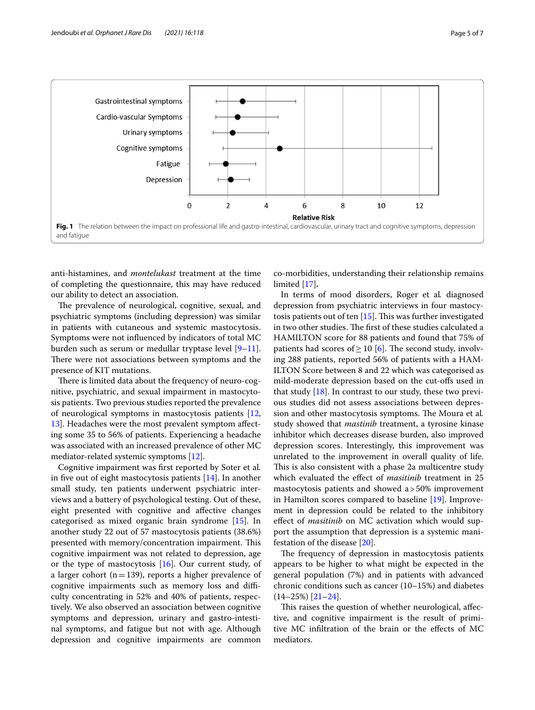

<span id="page-4-0"></span>anti-histamines, and *montelukast* treatment at the time of completing the questionnaire, this may have reduced our ability to detect an association.

The prevalence of neurological, cognitive, sexual, and psychiatric symptoms (including depression) was similar in patients with cutaneous and systemic mastocytosis. Symptoms were not infuenced by indicators of total MC burden such as serum or medullar tryptase level [\[9](#page-6-8)[–11](#page-6-9)]. There were not associations between symptoms and the presence of KIT mutations.

There is limited data about the frequency of neuro-cognitive, psychiatric, and sexual impairment in mastocytosis patients. Two previous studies reported the prevalence of neurological symptoms in mastocytosis patients [\[12](#page-6-10), [13\]](#page-6-11). Headaches were the most prevalent symptom afecting some 35 to 56% of patients. Experiencing a headache was associated with an increased prevalence of other MC mediator-related systemic symptoms [[12\]](#page-6-10).

Cognitive impairment was frst reported by Soter et al*.* in five out of eight mastocytosis patients  $[14]$  $[14]$ . In another small study, ten patients underwent psychiatric interviews and a battery of psychological testing. Out of these, eight presented with cognitive and afective changes categorised as mixed organic brain syndrome [[15\]](#page-6-13). In another study 22 out of 57 mastocytosis patients (38.6%) presented with memory/concentration impairment. This cognitive impairment was not related to depression, age or the type of mastocytosis  $[16]$  $[16]$ . Our current study, of a larger cohort ( $n=139$ ), reports a higher prevalence of cognitive impairments such as memory loss and difficulty concentrating in 52% and 40% of patients, respectively. We also observed an association between cognitive symptoms and depression, urinary and gastro-intestinal symptoms, and fatigue but not with age. Although depression and cognitive impairments are common

co-morbidities, understanding their relationship remains limited [\[17](#page-6-15)]*.*

In terms of mood disorders, Roger et al*.* diagnosed depression from psychiatric interviews in four mastocytosis patients out of ten  $[15]$  $[15]$ . This was further investigated in two other studies. The first of these studies calculated a HAMILTON score for 88 patients and found that 75% of patients had scores of  $\geq$  10 [\[6](#page-6-5)]. The second study, involving 288 patients, reported 56% of patients with a HAM-ILTON Score between 8 and 22 which was categorised as mild-moderate depression based on the cut-ofs used in that study [[18\]](#page-6-16). In contrast to our study, these two previous studies did not assess associations between depression and other mastocytosis symptoms. The Moura et al. study showed that *mastinib* treatment, a tyrosine kinase inhibitor which decreases disease burden, also improved depression scores. Interestingly, this improvement was unrelated to the improvement in overall quality of life. This is also consistent with a phase 2a multicentre study which evaluated the efect of *masitinib* treatment in 25 mastocytosis patients and showed a>50% improvement in Hamilton scores compared to baseline [\[19\]](#page-6-17). Improvement in depression could be related to the inhibitory efect of *masitinib* on MC activation which would support the assumption that depression is a systemic manifestation of the disease [[20\]](#page-6-18).

The frequency of depression in mastocytosis patients appears to be higher to what might be expected in the general population (7%) and in patients with advanced chronic conditions such as cancer (10–15%) and diabetes (14–25%) [\[21–](#page-6-19)[24\]](#page-6-20).

This raises the question of whether neurological, affective, and cognitive impairment is the result of primitive MC infltration of the brain or the efects of MC mediators.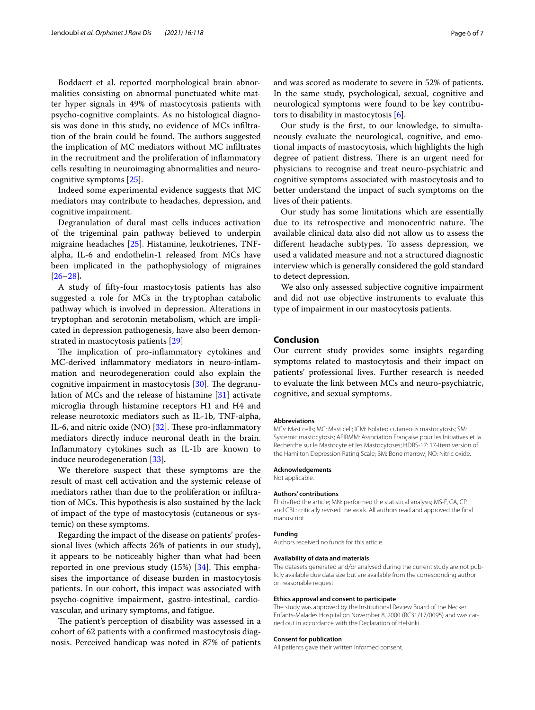Boddaert et al. reported morphological brain abnormalities consisting on abnormal punctuated white matter hyper signals in 49% of mastocytosis patients with psycho-cognitive complaints. As no histological diagnosis was done in this study, no evidence of MCs infltration of the brain could be found. The authors suggested the implication of MC mediators without MC infltrates in the recruitment and the proliferation of infammatory cells resulting in neuroimaging abnormalities and neurocognitive symptoms [\[25\]](#page-6-21).

Indeed some experimental evidence suggests that MC mediators may contribute to headaches, depression, and cognitive impairment.

Degranulation of dural mast cells induces activation of the trigeminal pain pathway believed to underpin migraine headaches [\[25\]](#page-6-21). Histamine, leukotrienes, TNFalpha, IL-6 and endothelin-1 released from MCs have been implicated in the pathophysiology of migraines [[26–](#page-6-22)[28](#page-6-23)]*.*

A study of ffty-four mastocytosis patients has also suggested a role for MCs in the tryptophan catabolic pathway which is involved in depression. Alterations in tryptophan and serotonin metabolism, which are implicated in depression pathogenesis, have also been demonstrated in mastocytosis patients [\[29\]](#page-6-24)

The implication of pro-inflammatory cytokines and MC-derived infammatory mediators in neuro-infammation and neurodegeneration could also explain the cognitive impairment in mastocytosis  $[30]$  $[30]$ . The degranulation of MCs and the release of histamine [[31\]](#page-6-26) activate microglia through histamine receptors H1 and H4 and release neurotoxic mediators such as IL-1b, TNF-alpha, IL-6, and nitric oxide (NO)  $[32]$ . These pro-inflammatory mediators directly induce neuronal death in the brain. Infammatory cytokines such as IL-1b are known to induce neurodegeneration [[33\]](#page-6-28)*.*

We therefore suspect that these symptoms are the result of mast cell activation and the systemic release of mediators rather than due to the proliferation or infltration of MCs. This hypothesis is also sustained by the lack of impact of the type of mastocytosis (cutaneous or systemic) on these symptoms.

Regarding the impact of the disease on patients' professional lives (which afects 26% of patients in our study), it appears to be noticeably higher than what had been reported in one previous study  $(15%)$  [[34\]](#page-6-29). This emphasises the importance of disease burden in mastocytosis patients. In our cohort, this impact was associated with psycho-cognitive impairment, gastro-intestinal, cardiovascular, and urinary symptoms, and fatigue.

The patient's perception of disability was assessed in a cohort of 62 patients with a confrmed mastocytosis diagnosis. Perceived handicap was noted in 87% of patients and was scored as moderate to severe in 52% of patients. In the same study, psychological, sexual, cognitive and neurological symptoms were found to be key contributors to disability in mastocytosis [[6\]](#page-6-5).

Our study is the frst, to our knowledge, to simultaneously evaluate the neurological, cognitive, and emotional impacts of mastocytosis, which highlights the high degree of patient distress. There is an urgent need for physicians to recognise and treat neuro-psychiatric and cognitive symptoms associated with mastocytosis and to better understand the impact of such symptoms on the lives of their patients.

Our study has some limitations which are essentially due to its retrospective and monocentric nature. The available clinical data also did not allow us to assess the diferent headache subtypes. To assess depression, we used a validated measure and not a structured diagnostic interview which is generally considered the gold standard to detect depression.

We also only assessed subjective cognitive impairment and did not use objective instruments to evaluate this type of impairment in our mastocytosis patients.

#### **Conclusion**

Our current study provides some insights regarding symptoms related to mastocytosis and their impact on patients' professional lives. Further research is needed to evaluate the link between MCs and neuro-psychiatric, cognitive, and sexual symptoms.

#### **Abbreviations**

MCs: Mast cells; MC: Mast cell; ICM: Isolated cutaneous mastocytosis; SM: Systemic mastocytosis; AFIRMM: Association Française pour les Initiatives et la Recherche sur le Mastocyte et les Mastocytoses; HDRS-17: 17-Item version of the Hamilton Depression Rating Scale; BM: Bone marrow; NO: Nitric oxide.

#### **Acknowledgements**

Not applicable.

#### **Authors' contributions**

FJ: drafted the article; MN: performed the statistical analysis; MS-F, CA, CP and CBL: critically revised the work. All authors read and approved the fnal manuscript.

#### **Funding**

Authors received no funds for this article.

#### **Availability of data and materials**

The datasets generated and/or analysed during the current study are not publicly available due data size but are available from the corresponding author on reasonable request.

#### **Ethics approval and consent to participate**

The study was approved by the Institutional Review Board of the Necker Enfants-Malades Hospital on November 8, 2000 (RC31/17/0095) and was car‑ ried out in accordance with the Declaration of Helsinki.

#### **Consent for publication**

All patients gave their written informed consent.